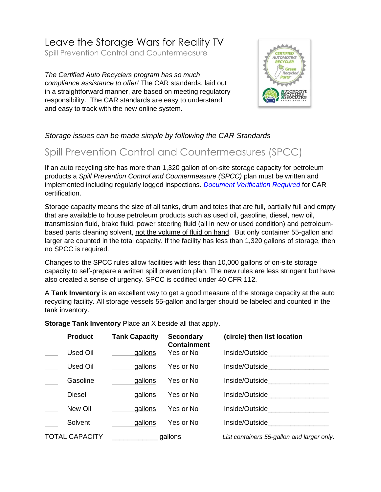# Leave the Storage Wars for Reality TV

Spill Prevention Control and Countermeasure

*The Certified Auto Recyclers program has so much compliance assistance to offer!* The CAR standards, laid out in a straightforward manner, are based on meeting regulatory responsibility. The CAR standards are easy to understand and easy to track with the new online system.



### *Storage issues can be made simple by following the CAR Standards*

## Spill Prevention Control and Countermeasures (SPCC)

If an auto recycling site has more than 1,320 gallon of on-site storage capacity for petroleum products a *Spill Prevention Control and Countermeasure (SPCC)* plan must be written and implemented including regularly logged inspections. *Document Verification Required* for CAR certification.

Storage capacity means the size of all tanks, drum and totes that are full, partially full and empty that are available to house petroleum products such as used oil, gasoline, diesel, new oil, transmission fluid, brake fluid, power steering fluid (all in new or used condition) and petroleumbased parts cleaning solvent, not the volume of fluid on hand. But only container 55-gallon and larger are counted in the total capacity. If the facility has less than 1,320 gallons of storage, then no SPCC is required.

Changes to the SPCC rules allow facilities with less than 10,000 gallons of on-site storage capacity to self-prepare a written spill prevention plan. The new rules are less stringent but have also created a sense of urgency. SPCC is codified under 40 CFR 112.

A **Tank Inventory** is an excellent way to get a good measure of the storage capacity at the auto recycling facility. All storage vessels 55-gallon and larger should be labeled and counted in the tank inventory.

**Storage Tank Inventory** Place an X beside all that apply.

|                                  | <b>Product</b> | <b>Tank Capacity</b> | <b>Secondary</b><br><b>Containment</b>     | (circle) then list location       |
|----------------------------------|----------------|----------------------|--------------------------------------------|-----------------------------------|
|                                  | Used Oil       | gallons              | Yes or No                                  | Inside/Outside <b>All Accords</b> |
|                                  | Used Oil       | gallons              | Yes or No                                  | Inside/Outside                    |
|                                  | Gasoline       | gallons              | Yes or No                                  | Inside/Outside <b>All Accords</b> |
|                                  | <b>Diesel</b>  | gallons              | Yes or No                                  | Inside/Outside <b>All Accords</b> |
|                                  | New Oil        | gallons              | Yes or No                                  | Inside/Outside                    |
|                                  | Solvent        | gallons              | Yes or No                                  | Inside/Outside <b>All Accords</b> |
| <b>TOTAL CAPACITY</b><br>gallons |                |                      | List containers 55-gallon and larger only. |                                   |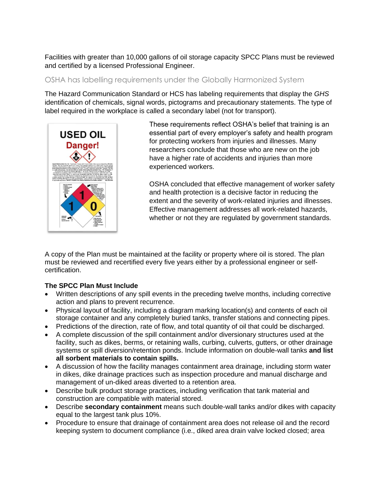Facilities with greater than 10,000 gallons of oil storage capacity SPCC Plans must be reviewed and certified by a licensed Professional Engineer.

### OSHA has labelling requirements under the Globally Harmonized System

The Hazard Communication Standard or HCS has labeling requirements that display the *GHS*  identification of chemicals, signal words, pictograms and precautionary statements. The type of label required in the workplace is called a secondary label (not for transport).



These requirements reflect OSHA's belief that training is an essential part of every employer's safety and health program for protecting workers from injuries and illnesses. Many researchers conclude that those who are new on the job have a higher rate of accidents and injuries than more experienced workers.

OSHA concluded that effective management of worker safety and health protection is a decisive factor in reducing the extent and the severity of work-related injuries and illnesses. Effective management addresses all work-related hazards, whether or not they are regulated by government standards.

A copy of the Plan must be maintained at the facility or property where oil is stored. The plan must be reviewed and recertified every five years either by a professional engineer or selfcertification.

#### **The SPCC Plan Must Include**

- Written descriptions of any spill events in the preceding twelve months, including corrective action and plans to prevent recurrence.
- Physical layout of facility, including a diagram marking location(s) and contents of each oil storage container and any completely buried tanks, transfer stations and connecting pipes.
- Predictions of the direction, rate of flow, and total quantity of oil that could be discharged.
- A complete discussion of the spill containment and/or diversionary structures used at the facility, such as dikes, berms, or retaining walls, curbing, culverts, gutters, or other drainage systems or spill diversion/retention ponds. Include information on double-wall tanks **and list all sorbent materials to contain spills.**
- A discussion of how the facility manages containment area drainage, including storm water in dikes, dike drainage practices such as inspection procedure and manual discharge and management of un-diked areas diverted to a retention area.
- Describe bulk product storage practices, including verification that tank material and construction are compatible with material stored.
- Describe **secondary containment** means such double-wall tanks and/or dikes with capacity equal to the largest tank plus 10%.
- Procedure to ensure that drainage of containment area does not release oil and the record keeping system to document compliance (i.e., diked area drain valve locked closed; area